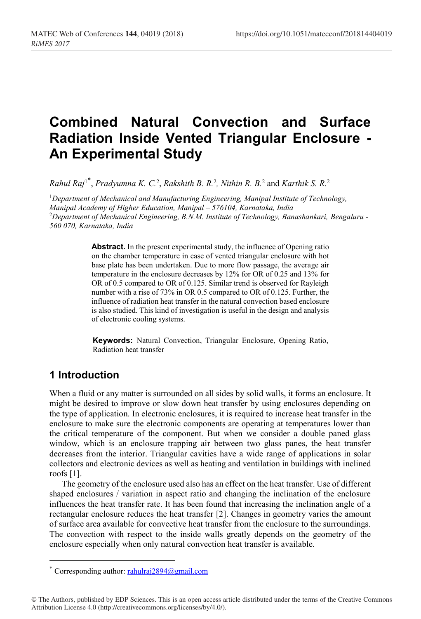# **Combined Natural Convection and Surface Radiation Inside Vented Triangular Enclosure - An Experimental Study**

*Rahul Raj*1\* , *Pradyumna K. C.*<sup>2</sup> , *Rakshith B. R.*<sup>2</sup> *, Nithin R. B.*<sup>2</sup> and *Karthik S. R.*<sup>2</sup>

<sup>1</sup>*Department of Mechanical and Manufacturing Engineering, Manipal Institute of Technology, Manipal Academy of Higher Education, Manipal – 576104, Karnataka, India* <sup>2</sup>*Department of Mechanical Engineering, B.N.M. Institute of Technology, Banashankari, Bengaluru - 560 070, Karnataka, India*

> **Abstract.** In the present experimental study, the influence of Opening ratio on the chamber temperature in case of vented triangular enclosure with hot base plate has been undertaken. Due to more flow passage, the average air temperature in the enclosure decreases by 12% for OR of 0.25 and 13% for OR of 0.5 compared to OR of 0.125. Similar trend is observed for Rayleigh number with a rise of 73% in OR 0.5 compared to OR of 0.125. Further, the influence of radiation heat transfer in the natural convection based enclosure is also studied. This kind of investigation is useful in the design and analysis of electronic cooling systems.

> **Keywords:** Natural Convection, Triangular Enclosure, Opening Ratio, Radiation heat transfer

#### **1 Introduction**

When a fluid or any matter is surrounded on all sides by solid walls, it forms an enclosure. It might be desired to improve or slow down heat transfer by using enclosures depending on the type of application. In electronic enclosures, it is required to increase heat transfer in the enclosure to make sure the electronic components are operating at temperatures lower than the critical temperature of the component. But when we consider a double paned glass window, which is an enclosure trapping air between two glass panes, the heat transfer decreases from the interior. Triangular cavities have a wide range of applications in solar collectors and electronic devices as well as heating and ventilation in buildings with inclined roofs [1].

The geometry of the enclosure used also has an effect on the heat transfer. Use of different shaped enclosures / variation in aspect ratio and changing the inclination of the enclosure influences the heat transfer rate. It has been found that increasing the inclination angle of a rectangular enclosure reduces the heat transfer [2]. Changes in geometry varies the amount of surface area available for convective heat transfer from the enclosure to the surroundings. The convection with respect to the inside walls greatly depends on the geometry of the enclosure especially when only natural convection heat transfer is available.

 <sup>\*</sup> Corresponding author: rahulraj2894@gmail.com

<sup>©</sup> The Authors, published by EDP Sciences. This is an open access article distributed under the terms of the Creative Commons Attribution License 4.0 (http://creativecommons.org/licenses/by/4.0/).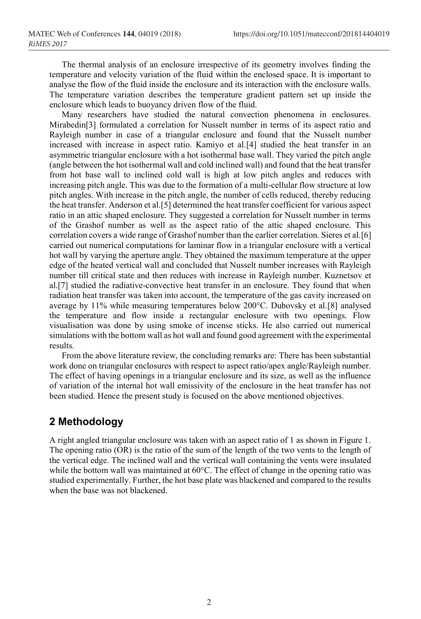The thermal analysis of an enclosure irrespective of its geometry involves finding the temperature and velocity variation of the fluid within the enclosed space. It is important to analyse the flow of the fluid inside the enclosure and its interaction with the enclosure walls. The temperature variation describes the temperature gradient pattern set up inside the enclosure which leads to buoyancy driven flow of the fluid.

Many researchers have studied the natural convection phenomena in enclosures. Mirabedin[3] formulated a correlation for Nusselt number in terms of its aspect ratio and Rayleigh number in case of a triangular enclosure and found that the Nusselt number increased with increase in aspect ratio. Kamiyo et al.[4] studied the heat transfer in an asymmetric triangular enclosure with a hot isothermal base wall. They varied the pitch angle (angle between the hot isothermal wall and cold inclined wall) and found that the heat transfer from hot base wall to inclined cold wall is high at low pitch angles and reduces with increasing pitch angle. This was due to the formation of a multi-cellular flow structure at low pitch angles. With increase in the pitch angle, the number of cells reduced, thereby reducing the heat transfer. Anderson et al.[5] determined the heat transfer coefficient for various aspect ratio in an attic shaped enclosure. They suggested a correlation for Nusselt number in terms of the Grashof number as well as the aspect ratio of the attic shaped enclosure. This correlation covers a wide range of Grashof number than the earlier correlation. Sieres et al.[6] carried out numerical computations for laminar flow in a triangular enclosure with a vertical hot wall by varying the aperture angle. They obtained the maximum temperature at the upper edge of the heated vertical wall and concluded that Nusselt number increases with Rayleigh number till critical state and then reduces with increase in Rayleigh number. Kuznetsov et al.[7] studied the radiative-convective heat transfer in an enclosure. They found that when radiation heat transfer was taken into account, the temperature of the gas cavity increased on average by 11% while measuring temperatures below 200°C. Dubovsky et al.[8] analysed the temperature and flow inside a rectangular enclosure with two openings. Flow visualisation was done by using smoke of incense sticks. He also carried out numerical simulations with the bottom wall as hot wall and found good agreement with the experimental results.

From the above literature review, the concluding remarks are: There has been substantial work done on triangular enclosures with respect to aspect ratio/apex angle/Rayleigh number. The effect of having openings in a triangular enclosure and its size, as well as the influence of variation of the internal hot wall emissivity of the enclosure in the heat transfer has not been studied. Hence the present study is focused on the above mentioned objectives.

#### **2 Methodology**

A right angled triangular enclosure was taken with an aspect ratio of 1 as shown in Figure 1. The opening ratio (OR) is the ratio of the sum of the length of the two vents to the length of the vertical edge. The inclined wall and the vertical wall containing the vents were insulated while the bottom wall was maintained at 60°C. The effect of change in the opening ratio was studied experimentally. Further, the hot base plate was blackened and compared to the results when the base was not blackened.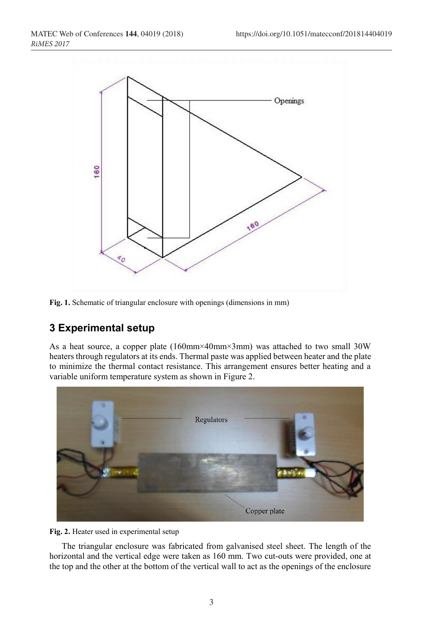

**Fig. 1.** Schematic of triangular enclosure with openings (dimensions in mm)

## **3 Experimental setup**

As a heat source, a copper plate (160mm×40mm×3mm) was attached to two small 30W heaters through regulators at its ends. Thermal paste was applied between heater and the plate to minimize the thermal contact resistance. This arrangement ensures better heating and a variable uniform temperature system as shown in Figure 2.





The triangular enclosure was fabricated from galvanised steel sheet. The length of the horizontal and the vertical edge were taken as 160 mm. Two cut-outs were provided, one at the top and the other at the bottom of the vertical wall to act as the openings of the enclosure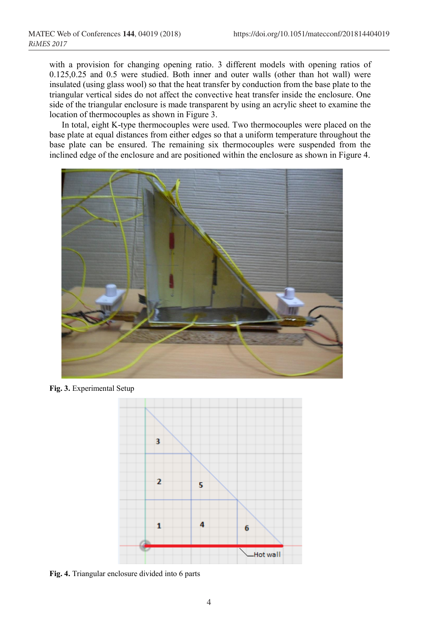with a provision for changing opening ratio. 3 different models with opening ratios of 0.125,0.25 and 0.5 were studied. Both inner and outer walls (other than hot wall) were insulated (using glass wool) so that the heat transfer by conduction from the base plate to the triangular vertical sides do not affect the convective heat transfer inside the enclosure. One side of the triangular enclosure is made transparent by using an acrylic sheet to examine the location of thermocouples as shown in Figure 3.

In total, eight K-type thermocouples were used. Two thermocouples were placed on the base plate at equal distances from either edges so that a uniform temperature throughout the base plate can be ensured. The remaining six thermocouples were suspended from the inclined edge of the enclosure and are positioned within the enclosure as shown in Figure 4.



**Fig. 3.** Experimental Setup



**Fig. 4.** Triangular enclosure divided into 6 parts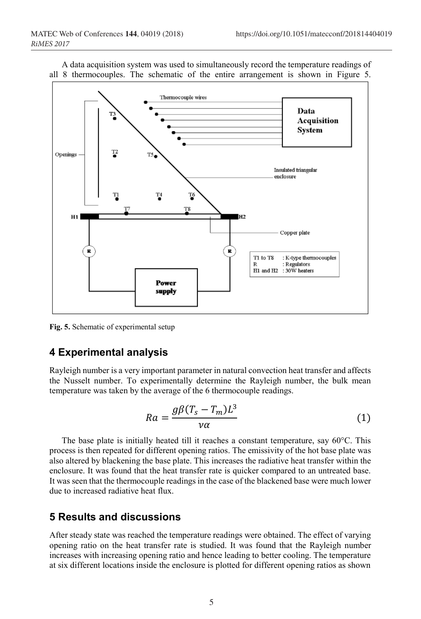# A data acquisition system was used to simultaneously record the temperature readings of



all 8 thermocouples. The schematic of the entire arrangement is shown in Figure 5.

**Fig. 5.** Schematic of experimental setup

#### **4 Experimental analysis**

Rayleigh number is a very important parameter in natural convection heat transfer and affects the Nusselt number. To experimentally determine the Rayleigh number, the bulk mean temperature was taken by the average of the 6 thermocouple readings.

$$
Ra = \frac{g\beta(T_s - T_m)L^3}{\nu\alpha} \tag{1}
$$

The base plate is initially heated till it reaches a constant temperature, say 60°C. This process is then repeated for different opening ratios. The emissivity of the hot base plate was also altered by blackening the base plate. This increases the radiative heat transfer within the enclosure. It was found that the heat transfer rate is quicker compared to an untreated base. It was seen that the thermocouple readings in the case of the blackened base were much lower due to increased radiative heat flux.

## **5 Results and discussions**

After steady state was reached the temperature readings were obtained. The effect of varying opening ratio on the heat transfer rate is studied. It was found that the Rayleigh number increases with increasing opening ratio and hence leading to better cooling. The temperature at six different locations inside the enclosure is plotted for different opening ratios as shown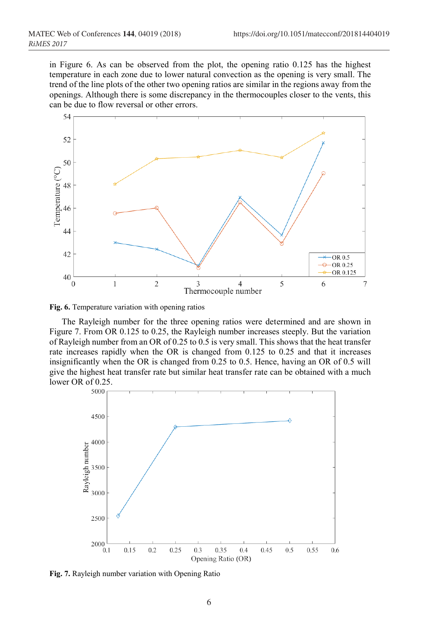in Figure 6. As can be observed from the plot, the opening ratio 0.125 has the highest temperature in each zone due to lower natural convection as the opening is very small. The trend of the line plots of the other two opening ratios are similar in the regions away from the openings. Although there is some discrepancy in the thermocouples closer to the vents, this can be due to flow reversal or other errors.



**Fig. 6.** Temperature variation with opening ratios

The Rayleigh number for the three opening ratios were determined and are shown in Figure 7. From OR 0.125 to 0.25, the Rayleigh number increases steeply. But the variation of Rayleigh number from an OR of 0.25 to 0.5 is very small. This shows that the heat transfer rate increases rapidly when the OR is changed from 0.125 to 0.25 and that it increases insignificantly when the OR is changed from 0.25 to 0.5. Hence, having an OR of 0.5 will give the highest heat transfer rate but similar heat transfer rate can be obtained with a much lower OR of 0.25.



**Fig. 7.** Rayleigh number variation with Opening Ratio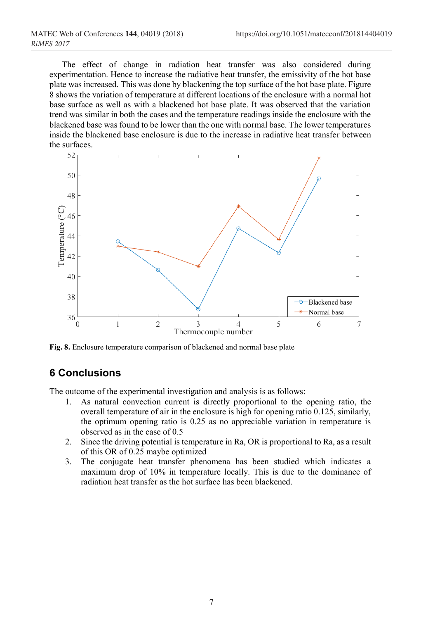The effect of change in radiation heat transfer was also considered during experimentation. Hence to increase the radiative heat transfer, the emissivity of the hot base plate was increased. This was done by blackening the top surface of the hot base plate. Figure 8 shows the variation of temperature at different locations of the enclosure with a normal hot base surface as well as with a blackened hot base plate. It was observed that the variation trend was similar in both the cases and the temperature readings inside the enclosure with the blackened base was found to be lower than the one with normal base. The lower temperatures inside the blackened base enclosure is due to the increase in radiative heat transfer between the surfaces.



**Fig. 8.** Enclosure temperature comparison of blackened and normal base plate

#### **6 Conclusions**

The outcome of the experimental investigation and analysis is as follows:

- 1. As natural convection current is directly proportional to the opening ratio, the overall temperature of air in the enclosure is high for opening ratio 0.125, similarly, the optimum opening ratio is 0.25 as no appreciable variation in temperature is observed as in the case of 0.5
- 2. Since the driving potential is temperature in Ra, OR is proportional to Ra, as a result of this OR of 0.25 maybe optimized
- 3. The conjugate heat transfer phenomena has been studied which indicates a maximum drop of 10% in temperature locally. This is due to the dominance of radiation heat transfer as the hot surface has been blackened.